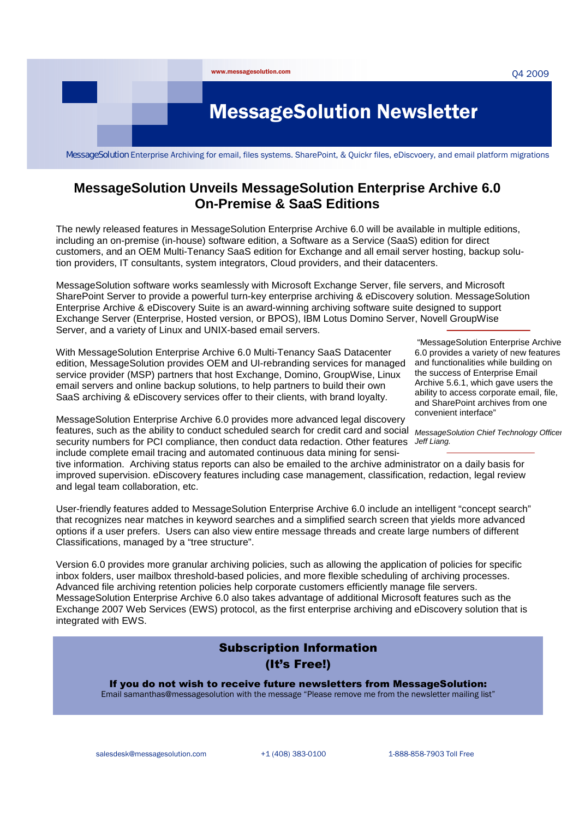

MessageSolution Enterprise Archiving for email, files systems. SharePoint, & Quickr files, eDiscvoery, and email platform migrations

## **MessageSolution Unveils MessageSolution Enterprise Archive 6.0 On-Premise & SaaS Editions**

The newly released features in MessageSolution Enterprise Archive 6.0 will be available in multiple editions, including an on-premise (in-house) software edition, a Software as a Service (SaaS) edition for direct customers, and an OEM Multi-Tenancy SaaS edition for Exchange and all email server hosting, backup solution providers, IT consultants, system integrators, Cloud providers, and their datacenters.

MessageSolution software works seamlessly with Microsoft Exchange Server, file servers, and Microsoft SharePoint Server to provide a powerful turn-key enterprise archiving & eDiscovery solution. MessageSolution Enterprise Archive & eDiscovery Suite is an award-winning archiving software suite designed to support Exchange Server (Enterprise, Hosted version, or BPOS), IBM Lotus Domino Server, Novell GroupWise Server, and a variety of Linux and UNIX-based email servers.

With MessageSolution Enterprise Archive 6.0 Multi-Tenancy SaaS Datacenter edition, MessageSolution provides OEM and UI-rebranding services for managed service provider (MSP) partners that host Exchange, Domino, GroupWise, Linux email servers and online backup solutions, to help partners to build their own SaaS archiving & eDiscovery services offer to their clients, with brand loyalty.

"MessageSolution Enterprise Archive 6.0 provides a variety of new features and functionalities while building on the success of Enterprise Email Archive 5.6.1, which gave users the ability to access corporate email, file, and SharePoint archives from one convenient interface"

MessageSolution Enterprise Archive 6.0 provides more advanced legal discovery features, such as the ability to conduct scheduled search for credit card and social *MessageSolution Chief Technology Officer*  security numbers for PCI compliance, then conduct data redaction. Other features *Jeff Liang.*  include complete email tracing and automated continuous data mining for sensi-

tive information. Archiving status reports can also be emailed to the archive administrator on a daily basis for improved supervision. eDiscovery features including case management, classification, redaction, legal review and legal team collaboration, etc.

User-friendly features added to MessageSolution Enterprise Archive 6.0 include an intelligent "concept search" that recognizes near matches in keyword searches and a simplified search screen that yields more advanced options if a user prefers. Users can also view entire message threads and create large numbers of different Classifications, managed by a "tree structure".

Version 6.0 provides more granular archiving policies, such as allowing the application of policies for specific inbox folders, user mailbox threshold-based policies, and more flexible scheduling of archiving processes. Advanced file archiving retention policies help corporate customers efficiently manage file servers. MessageSolution Enterprise Archive 6.0 also takes advantage of additional Microsoft features such as the Exchange 2007 Web Services (EWS) protocol, as the first enterprise archiving and eDiscovery solution that is integrated with EWS.

# Subscription Information (It's Free!)

If you do not wish to receive future newsletters from MessageSolution:

Email samanthas@messagesolution with the message "Please remove me from the newsletter mailing list"

salesdesk@messagesolution.com  $+1 (408) 383-0100$  1-888-858-7903 Toll Free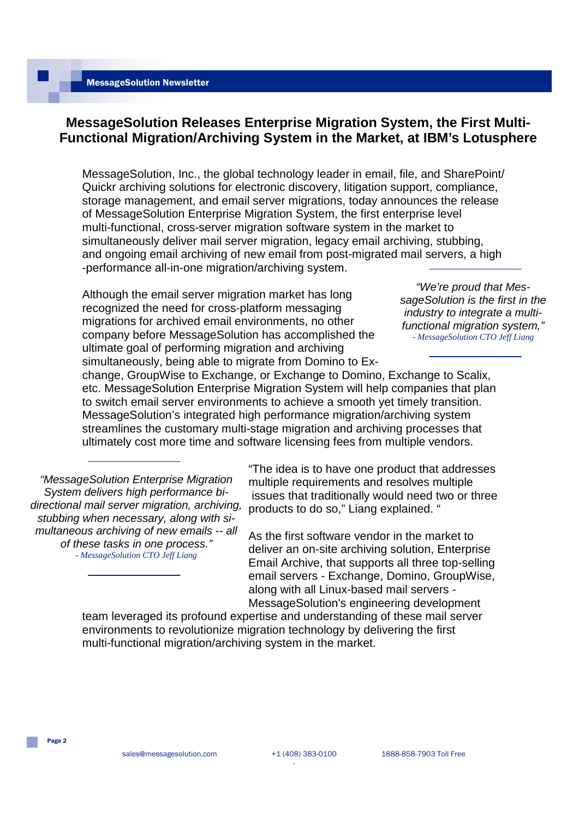## **MessageSolution Releases Enterprise Migration System, the First Multi-Functional Migration/Archiving System in the Market, at IBM's Lotusphere**

MessageSolution, Inc., the global technology leader in email, file, and SharePoint/ Quickr archiving solutions for electronic discovery, litigation support, compliance, storage management, and email server migrations, today announces the release of MessageSolution Enterprise Migration System, the first enterprise level multi-functional, cross-server migration software system in the market to simultaneously deliver mail server migration, legacy email archiving, stubbing, and ongoing email archiving of new email from post-migrated mail servers, a high -performance all-in-one migration/archiving system.

Although the email server migration market has long recognized the need for cross-platform messaging migrations for archived email environments, no other company before MessageSolution has accomplished the ultimate goal of performing migration and archiving simultaneously, being able to migrate from Domino to Ex-

*"We're proud that MessageSolution is the first in the industry to integrate a multifunctional migration system," - MessageSolution CTO Jeff Liang*

change, GroupWise to Exchange, or Exchange to Domino, Exchange to Scalix, etc. MessageSolution Enterprise Migration System will help companies that plan to switch email server environments to achieve a smooth yet timely transition. MessageSolution's integrated high performance migration/archiving system streamlines the customary multi-stage migration and archiving processes that ultimately cost more time and software licensing fees from multiple vendors.

*"MessageSolution Enterprise Migration System delivers high performance bidirectional mail server migration, archiving, stubbing when necessary, along with simultaneous archiving of new emails -- all of these tasks in one process." - MessageSolution CTO Jeff Liang*

"The idea is to have one product that addresses multiple requirements and resolves multiple issues that traditionally would need two or three products to do so," Liang explained. "

As the first software vendor in the market to deliver an on-site archiving solution, Enterprise Email Archive, that supports all three top-selling email servers - Exchange, Domino, GroupWise, along with all Linux-based mail servers - MessageSolution's engineering development

team leveraged its profound expertise and understanding of these mail server environments to revolutionize migration technology by delivering the first multi-functional migration/archiving system in the market.

Page 2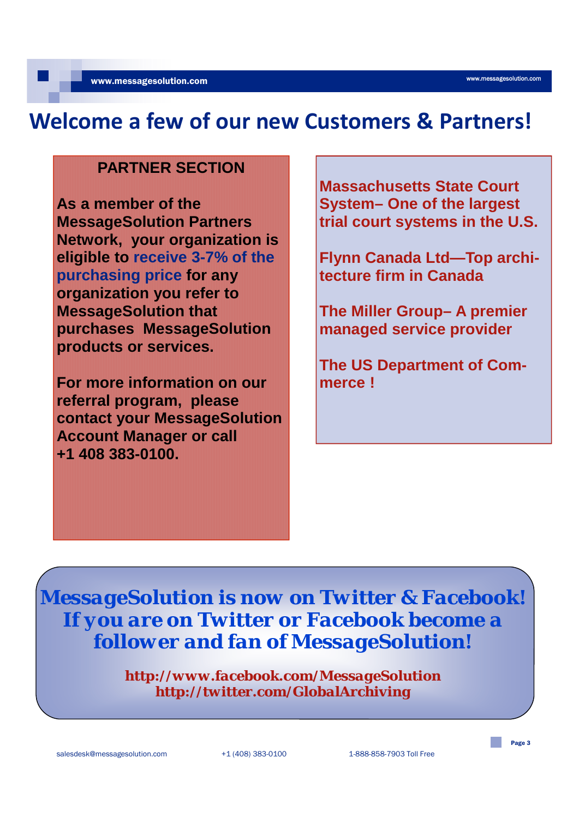# **Welcome a few of our new Customers & Partners!**

# **PARTNER SECTION**

**As a member of the MessageSolution Partners Network, your organization is eligible to receive 3-7% of the purchasing price for any organization you refer to MessageSolution that purchases MessageSolution products or services.**

**For more information on our referral program, please contact your MessageSolution Account Manager or call +1 408 383-0100.**

**Massachusetts State Court System– One of the largest trial court systems in the U.S.** 

**Flynn Canada Ltd—Top architecture firm in Canada**

**The Miller Group– A premier managed service provider**

**The US Department of Commerce !**

*MessageSolution is now on Twitter & Facebook! If you are on Twitter or Facebook become a follower and fan of MessageSolution!*

> *http://www.facebook.com/MessageSolution http://twitter.com/GlobalArchiving*

Page 3